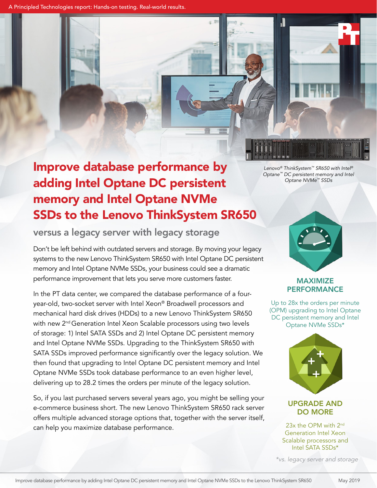A Principled Technologies report: Hands-on testing. Real-world results.

## Improve database performance by adding Intel Optane DC persistent memory and Intel Optane NVMe SSDs to the Lenovo ThinkSystem SR650

versus a legacy server with legacy storage

Don't be left behind with outdated servers and storage. By moving your legacy systems to the new Lenovo ThinkSystem SR650 with Intel Optane DC persistent memory and Intel Optane NVMe SSDs, your business could see a dramatic performance improvement that lets you serve more customers faster.

In the PT data center, we compared the database performance of a fouryear-old, two-socket server with Intel Xeon® Broadwell processors and mechanical hard disk drives (HDDs) to a new Lenovo ThinkSystem SR650 with new 2<sup>nd</sup> Generation Intel Xeon Scalable processors using two levels of storage: 1) Intel SATA SSDs and 2) Intel Optane DC persistent memory and Intel Optane NVMe SSDs. Upgrading to the ThinkSystem SR650 with SATA SSDs improved performance significantly over the legacy solution. We then found that upgrading to Intel Optane DC persistent memory and Intel Optane NVMe SSDs took database performance to an even higher level, delivering up to 28.2 times the orders per minute of the legacy solution.

So, if you last purchased servers several years ago, you might be selling your e-commerce business short. The new Lenovo ThinkSystem SR650 rack server offers multiple advanced storage options that, together with the server itself, can help you maximize database performance.

*Lenovo® ThinkSystem™ SR650 with Intel® Optane™ DC persistent memory and Intel Optane NVMe™ SSDs*

ا ا

# MAXIMIZE

PERFORMANCE Up to 28x the orders per minute (OPM) upgrading to Intel Optane DC persistent memory and Intel

Optane NVMe SSDs\*



### UPGRADE AND DO MORE

23x the OPM with 2<sup>nd</sup> Generation Intel Xeon Scalable processors and Intel SATA SSDs\*

*\*vs. legacy server and storage*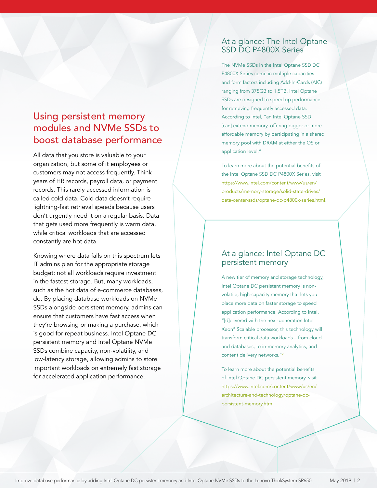## Using persistent memory modules and NVMe SSDs to boost database performance

All data that you store is valuable to your organization, but some of it employees or customers may not access frequently. Think years of HR records, payroll data, or payment records. This rarely accessed information is called cold data. Cold data doesn't require lightning-fast retrieval speeds because users don't urgently need it on a regular basis. Data that gets used more frequently is warm data, while critical workloads that are accessed constantly are hot data.

Knowing where data falls on this spectrum lets IT admins plan for the appropriate storage budget: not all workloads require investment in the fastest storage. But, many workloads, such as the hot data of e-commerce databases, do. By placing database workloads on NVMe SSDs alongside persistent memory, admins can ensure that customers have fast access when they're browsing or making a purchase, which is good for repeat business. Intel Optane DC persistent memory and Intel Optane NVMe SSDs combine capacity, non-volatility, and low-latency storage, allowing admins to store important workloads on extremely fast storage for accelerated application performance.

## At a glance: The Intel Optane SSD DC P4800X Series

The NVMe SSDs in the Intel Optane SSD DC P4800X Series come in multiple capacities and form factors including Add-In-Cards (AIC) ranging from 375GB to 1.5TB. Intel Optane SSDs are designed to speed up performance for retrieving frequently accessed data. According to Intel, "an Intel Optane SSD [can] extend memory, offering bigger or more affordable memory by participating in a shared memory pool with DRAM at either the OS or application level."

To learn more about the potential benefits of the Intel Optane SSD DC P4800X Series, visit [https://www.intel.com/content/www/us/en/](https://www.intel.com/content/www/us/en/products/memory-storage/solid-state-drives/data-center-ssds/optane-dc-p4800x-series.html) [products/memory-storage/solid-state-drives/](https://www.intel.com/content/www/us/en/products/memory-storage/solid-state-drives/data-center-ssds/optane-dc-p4800x-series.html) [data-center-ssds/optane-dc-p4800x-series.html](https://www.intel.com/content/www/us/en/products/memory-storage/solid-state-drives/data-center-ssds/optane-dc-p4800x-series.html).

### At a glance: Intel Optane DC persistent memory

A new tier of memory and storage technology, Intel Optane DC persistent memory is nonvolatile, high-capacity memory that lets you place more data on faster storage to speed application performance. According to Intel, "[d]elivered with the next-generation Intel Xeon® Scalable processor, this technology will transform critical data workloads – from cloud and databases, to in-memory analytics, and content delivery networks.["2](#page-3-0)

To learn more about the potential benefits of Intel Optane DC persistent memory, visit [https://www.intel.com/content/www/us/en/](https://www.intel.com/content/www/us/en/architecture-and-technology/optane-dc-persistent-memory.html) [architecture-and-technology/optane-dc](https://www.intel.com/content/www/us/en/architecture-and-technology/optane-dc-persistent-memory.html)[persistent-memory.html](https://www.intel.com/content/www/us/en/architecture-and-technology/optane-dc-persistent-memory.html).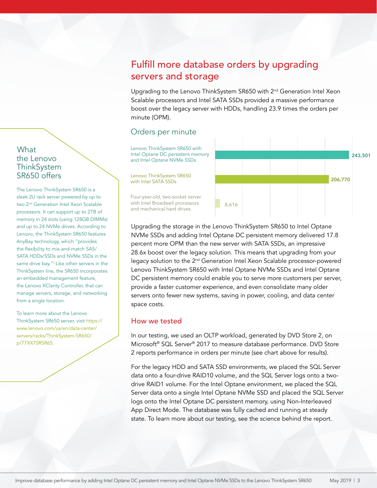## Fulfill more database orders by upgrading servers and storage

Upgrading to the Lenovo ThinkSystem SR650 with 2<sup>nd</sup> Generation Intel Xeon Scalable processors and Intel SATA SSDs provided a massive performance boost over the legacy server with HDDs, handling 23.9 times the orders per minute (OPM).

## Orders per minute

Lenovo ThinkSystem SR650 with Intel Optane DC persistent memory and Intel Optane NVMe SSDs

Lenovo ThinkSystem SR650 with Intel SATA SSDs

Four-year-old, two-socket server with Intel Broadwell processors and mechanical hard drives



Upgrading the storage in the Lenovo ThinkSystem SR650 to Intel Optane NVMe SSDs and adding Intel Optane DC persistent memory delivered 17.8 percent more OPM than the new server with SATA SSDs, an impressive 28.6x boost over the legacy solution. This means that upgrading from your legacy solution to the 2<sup>nd</sup> Generation Intel Xeon Scalable processor-powered Lenovo ThinkSystem SR650 with Intel Optane NVMe SSDs and Intel Optane DC persistent memory could enable you to serve more customers per server, provide a faster customer experience, and even consolidate many older servers onto fewer new systems, saving in power, cooling, and data center space costs.

#### How we tested

In our testing, we used an OLTP workload, generated by DVD Store 2, on Microsoft® SQL Server® 2017 to measure database performance. DVD Store 2 reports performance in orders per minute (see chart above for results).

For the legacy HDD and SATA SSD environments, we placed the SQL Server data onto a four-drive RAID10 volume, and the SQL Server logs onto a twodrive RAID1 volume. For the Intel Optane environment, we placed the SQL Server data onto a single Intel Optane NVMe SSD and placed the SQL Server logs onto the Intel Optane DC persistent memory, using Non-Interleaved App Direct Mode. The database was fully cached and running at steady state. To learn more about our testing, see the science behind the report.

## **What** the Lenovo **ThinkSystem** SR650 offers

The Lenovo ThinkSystem SR650 is a sleek 2U rack server powered by up to two 2<sup>nd</sup> Generation Intel Xeon Scalable processors. It can support up to 2TB of memory in 24 slots (using 128GB DIMMs) and up to 24 NVMe drives. According to Lenovo, the ThinkSystem SR650 features AnyBay technology, which "provides the flexibility to mix-and-match SAS/ SATA HDDs/SSDs and NVMe SSDs in the same drive bay."<sup>[3](#page-3-1)</sup> Like other servers in the ThinkSystem line, the SR650 incorporates an embedded management feature, the Lenovo XClarity Controller, that can manage servers, storage, and networking from a single location.

To learn more about the Lenovo ThinkSystem SR650 server, visit [https://](https://www.lenovo.com/us/en/data-center/servers/racks/ThinkSystem-SR650/p/77XX7SRSR65) [www.lenovo.com/us/en/data-center/](https://www.lenovo.com/us/en/data-center/servers/racks/ThinkSystem-SR650/p/77XX7SRSR65) [servers/racks/ThinkSystem-SR650/](https://www.lenovo.com/us/en/data-center/servers/racks/ThinkSystem-SR650/p/77XX7SRSR65) [p/77XX7SRSR65](https://www.lenovo.com/us/en/data-center/servers/racks/ThinkSystem-SR650/p/77XX7SRSR65).